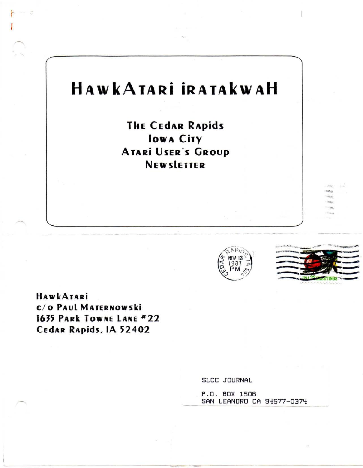# HAWKATARI IRATAKWAH

**THE CEDAR RAPIDS Iowa City ATARİ USER'S GROUP NEW SLETTER** 





**HAWKATARI** C/O PAUL MATERNOWSKI 1635 PARK TOWNE LANE #22 CEdAR Rapids, IA 52402

SLCC JOURNAL

P.O. BOX 1506 SAN LEANDRO CA 94577-0374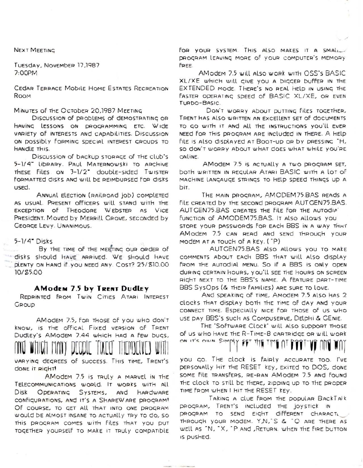**NEXT MEETING** 

TUESday, November 17,1987 7:00PM

CEDAR TERRACE MODILE HOME ESTATES RECREATION ROOM

MINUTES OF THE OCTODER 20,1987 MEETING

Discussion of problems of demostrating or HAVING LESSONS ON DROGRAMMING ETC. WIDE VARIETY OF INTERESTS AND CADADILITIES. DISCUSSION ON DOSSIbly FORMING SDECIAL INTEREST GROUDS TO HANDLE THIS.

Discussion of backup storage of the club's 5-1/4" Library. Paul Maternowski to archive THESE FILES ON 3-1/2" double-sided Twister FORMATTED disks and will be REIMBURSED FOR disks used.

ANNUAL ELECTION (RAILROAd job) COMPLETED AS USUAL PRESENT OfficERS will STAND with THE EXCEPTION Of THEODORE WEDSTER AS VICE PRESIdENT. Moved by MERRILL GROVE, SECONdEd by GEORGE LEVY. UNANIMOUS.

 $5-1/4$  Disks

By THE TIME OF THE MEETING OUR ORDER OF disks should have arrived. We should have PLENTY ON HAND IF YOU NEED ANY. COST? 25/810.00 10/\$5.00

#### **AModem 7.5 by TRENT Dudley**

REDRINTED FROM TWIN CITIES ATARI INTEREST GROUD

AMODEM 7.5, FOR THOSE OF YOU WHO DON'T know, is the offical Fixed version of TRENT Dudley's AModem 7.44 which had a few bugs,

VARYING DEGREES OF SUCCESS. THIS TIME, TRENT'S done it Right!

AMODEM 7.5 is TRULY A MARVEL IN THE TELECOMMUNICATIONS WORLD. IT WORKS WITH All OPERATING SYSTEMS, AND HARDWARE Disk CONFIGURATIONS, AND IT'S A SHAREW ARE DROGRAM! Of course, to get all that into one program would be almost insane to actually try to do, so THIS DROGRAM COMES WITH FILES THAT YOU DUT TOGETHER YOURSELF TO MAKE IT TRULY COMPATIBLE FOR YOUR SYSTEM. THIS ALSO MAKES IT A SMALL DROGRAM LEAVING MORE OF YOUR COMDUTER'S MEMORY FREE.

AModem 7.5 will also work with OSS's BASIC XL/XE which will give you a bigger buffer in the EXTENDED MODE. THERE'S NO REAL HELD IN USING THE FASTER OPERATING SPEEd of BASIC XL/XE, OR EVEN TURDO-BASIC.

DON'T WORRY ADOUT DUTTING FILES TOGETHER, TRENT HAS ALSO WRITTEN AN EXCELLENT SET OF GOCUMENTS TO GO WITH IT AND ALL THE INSTRUCTIONS YOU'LL EVER NEED FOR THIS DROGRAM ARE INCLUDED IN THERE. A HELP FILE IS ALSO displayed at Boot-up on by pressing "H, SO CON'T WORRY ADOUT WHAT COES WHAT WHILE YOU'RE ONLINE.

AModem 7.5 is actually a two program set, both WRITTEN IN REGULAR ATARI BASIC WITH A LOT OF MACHINE LANGAUGE STRINGS TO HELP SPEED THINGS UP A DIT.

THE MAIN PROGRAM, AMODEM75.BAS REAds A FILE CREATED by THE SECOND DROGRAM AUT GEN75.BAS. AUTGEN75.BAS CREATES THE FILE FOR THE AUTOdip' FUNCTION OF AMODEM75.BAS. IT ALSO ALLOWS VOU STORE YOUR DASSWORDS FOR EACH BBS IN A WAY THAT AModem 7.5 can read and send through your MODEM AT A TOUCH OF A KEY. (P)

AUTGEN75.BAS also allows you TO MAKE COMMENTS ADOUT EACH BBS THAT will also display FROM THE AUTOdial MENU. So if a BBS is only open during CERTAIN HOURS, YOU'll SEE THE HOURS ON SCREEN RIGHT NEXT TO THE BBS'S NAME. A FEATURE DART-TIME BBS SysOps (& THEIR FAMILIES) ARE SURE TO LOVE.

And speaking of time, Amodem 7.5 also has 2 clocks that display both the time of day and your CONNECT TIME. ESPECIALLY NICE FOR THOSE OF US WHO USE DAY BBS'S SUCH AS COMPUSERVE, DELDHI & GENIE.

THE 'SOFTWARE Clock' will also support those of us who have the R-TIME-8 cartridge or will work ON IT'S ON'N SIMPLY FFT THE TIME OT PPPT-VP ONE

you go. The clock is fairly accurate too. I've DERSONALly HIT THE RESET KEY, EXITED TO DOS, DONE SOME FILE TRANSFERS, RE-RAN AMODEM 7.5 AND FOUND THE CLOCK TO STILL DE THERE, 2IPPING UP TO THE PROPER TIME FROM WHEN I HIT THE RESET KEY.

TAKING A CLUE FROM THE DODULAR BACKTAIK program, TRENT's included the joystick in DROGRAM TO SEND EIGHT DIFFERENT CHARACTL THROUGH YOUR MODEM. Y.N.'S & "Q ARE THERE AS WELL AS "N, "X, "P AND, RETURN. WHEN THE FIRE DUTTON is pushed.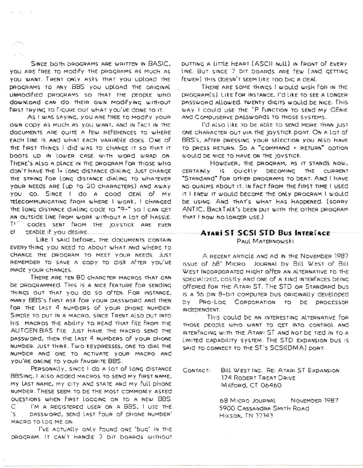SINCE DOTH DROGRAMS ARE WRITTEN IN BASIC, YOU ARE FREE TO MODIFY THE DROGRAMS AS MUCH AS YOU WANT. TRENT ONLY ASKS THAT YOU UDLOAD THE DROGRAMS TO ANY BBS you upload THE ORIGINAL UNMOdified programs so that the people who download can do Their own modifying without FIRST TRYING TO FIGURE OUT WHAT YOU'VE DONE TO IT.

 $-1$ 

As I WAS SAYING, YOU ARE FREE TO MOOIFY YOUR OWN CODY AS MUCH AS YOU WANT, AND IN FACT IN THE documents ARE OUITE A FEW REFERENCES TO WHERE EACH LINE IS AND WHAT EACH VARIAble does. ONE of THE FIRST THINGS I did WAS TO CHANGE IT SO THAT IT boots up in Lower case with word wrap on. THERE'S ALSO A DLACE IN THE DROGRAM FOR THOSE WHO don't have the 1+ long distance dialing. Just change THE STRING FOR LONG DISTANCE dialing TO WHATEVER your NEEds ARE (up To 20 characters) and away you go. SINCE I do a good deal of my TELECOMMUNICATING FROM WHERE I WORK, I CHANGED THE LONG DISTANCE dialing code To "9-" SO I CAN GET AN OUTSIDE LINE FROM WORK WITHOUT A LOT OF HASSLE.  $TV$ CODES SENT FROM THE JOYSTICK ARE EVEN GEADLE IF YOU DESIRE. сŀ

LIKE I SAId DEFORE, THE documents CONTAIN EVERYTHING YOU NEED TO ABOUT WHAT AND WHERE TO CHANGE THE PROGRAM TO MEET YOUR NEEDS. JUST REMEMBER TO SAVE A CODY TO disk AFTER YOU'VE MADE YOUR CHANGES.

THERE ARE TEN 80 CHARCTER MACROS THAT CAN DE PROGRAMMED. THIS IS A NICE FEATURE FOR SENDING THINGS OUT THAT YOU DO SO OFTEN. FOR INSTANCE, MANY BBS's FIRST ASK FOR YOUR DASSWORD AND THEN FOR THE LAST 4 NUMBERS OF YOUR DHONE NUMBER. SIMPLE TO PUT IN A MACRO, SINCE TRENT ALSO DUT INTO HIS MACROS THE ADILITY TO READ THAT FILE FROM THE AUTGEN.BAS File. JUST HAVE THE MACRO SEND THE password, then the last 4 numbers of your phone NUMBER. JUST THINK. TWO KEYDRESSES, ONE TO DIAL THE NUMBER AND ONE TO ACTIVATE YOUR MACRO AND you're online to your favorite BBS.

PERSONALLY, SINCE I do A LOT OF LONG DISTANCE BBSING, I Also added MACROS TO SENd My FIRST NAME, My LAST NAME, My CITY AND STATE AND My Full phone NUMBER. THESE SEEM TO BE THE MOST COMMONLY ASKED OUESTIONS WHEN FIRST LOGGING ON TO A NEW BBS. C I'M A REGISTERED USER ON A BBS, I USE THE 's password, send last four of phone number' MACRO TO LOG ME ON.

I'VE ACTUALLY ONLY FOUND ONE 'DUG' IN THE DROGRAM. IT CAN'T HANDLE 7 DIT DOARDS WITHOUT DUTTING A LITTLE HEART (ASCII NULL) IN FRONT OF EVERY LINE. BUT SINCE 7 DIT DOARDS ARE FEW (AND GETTING FEWER) THIS COESN'T SEEM LIKE TOO DIG A CEAL.

THERE ARE SOME THINGS I WOULD WISH FOR IN THE PROGRAM(S). LIKE FOR INSTANCE, I'd like TO SEE A LONGER DASSWORD ALLOWED. TWENTY DIGITS WOULD DE NICE. THIS WAY I COULD USE THE "P FUNCTION TO SEND MY GENIE AND COMPUSERVE DASSWORDS TO THOSE SYSTEMS.

I'd also like TO be able TO SENd MORE THAN JUST ONE CHARACTER OUT VIA THE JOYSTICK DORT. ON A LOT OF BBS's, AFTER DRESSING YOUR SELECTION YOU ALSO HAVE TO DRESS RETURN. So A "COMMAND + RETURN" ODTION WOULD DE NICE TO HAVE ON THE JOYSTICK.

HOWEVER, THE DROGRAM, AS IT STANDS NOW, CERTAINLY IS QUICKLY DECOMING THE CURRENT "STANDARD" FOR OTHER PROGRAMS TO DEAT. AND I HAVE NO OUALMS ADOUT IT. IN FACT FROM THE FIRST TIME I USED IT I KNEW IT WOULD DECOME THE ONLY DROGRAM I WOULD DE USING. AND THAT'S WHAT HAS HAPPENED. (SORRY ANTIC, BACKTALK'S DEEN DUT WITH THE OTHER DROGRAM THAT I NOW NO LONGER USE.)

## **ATARI ST SCSI STD BUS INTERFACE** Paul MATERNOWSKI

A RECENT ARTICLE AND AD IN THE NOVEMBER 1987 ISSUE OF 68' MICRO JOURNAL by Bill WEST OF Bill WEST INCORDORATED MIGHT OFFER AN ALTERNATIVE TO THE SPECIALIZED, COSTLY AND ONE OF A KIND INTERFACES DEING offered for the Atari ST. The STD or Standard bus is a 56 pin 8-bit computer bus originally developed by Pro-Log Corporation to be processor **INDEDENCENT.** 

This could be an interesting alternative for THOSE DEODLE WHO WANT TO GET INTO CONTROL AND INTERFACING WITH THE ATARI ST AND NOT DE TIED IN TO A LIMITED CADADILITY SYSTEM. THE STD EXDANSION DUS IS SAID TO CONNECT TO THE ST'S SCSI(DMA) DORT.

CONTACT: Bill WEST INC. RE: ATARI ST EXPANSION 174 RODERT TREAT DRIVE Milford, CT 06460

> **68 MICRO JOURNAL** NOVEMBER 1987 5900 CASSANDRA SMITH ROAD **Hixson, TN 37343**